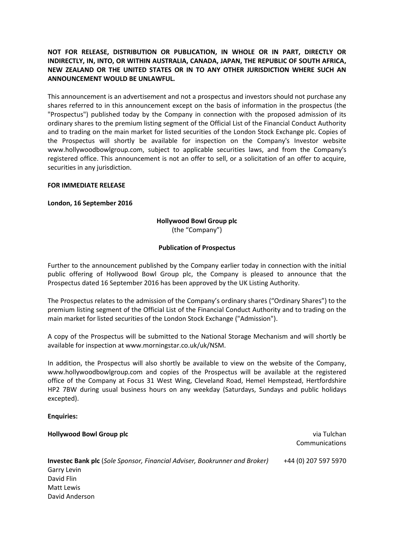# **NOT FOR RELEASE, DISTRIBUTION OR PUBLICATION, IN WHOLE OR IN PART, DIRECTLY OR INDIRECTLY, IN, INTO, OR WITHIN AUSTRALIA, CANADA, JAPAN, THE REPUBLIC OF SOUTH AFRICA, NEW ZEALAND OR THE UNITED STATES OR IN TO ANY OTHER JURISDICTION WHERE SUCH AN ANNOUNCEMENT WOULD BE UNLAWFUL.**

This announcement is an advertisement and not a prospectus and investors should not purchase any shares referred to in this announcement except on the basis of information in the prospectus (the "Prospectus") published today by the Company in connection with the proposed admission of its ordinary shares to the premium listing segment of the Official List of the Financial Conduct Authority and to trading on the main market for listed securities of the London Stock Exchange plc. Copies of the Prospectus will shortly be available for inspection on the Company's Investor website www.hollywoodbowlgroup.com, subject to applicable securities laws, and from the Company's registered office. This announcement is not an offer to sell, or a solicitation of an offer to acquire, securities in any jurisdiction.

## **FOR IMMEDIATE RELEASE**

## **London, 16 September 2016**

# **Hollywood Bowl Group plc** (the "Company")

### **Publication of Prospectus**

Further to the announcement published by the Company earlier today in connection with the initial public offering of Hollywood Bowl Group plc, the Company is pleased to announce that the Prospectus dated 16 September 2016 has been approved by the UK Listing Authority.

The Prospectus relates to the admission of the Company's ordinary shares ("Ordinary Shares") to the premium listing segment of the Official List of the Financial Conduct Authority and to trading on the main market for listed securities of the London Stock Exchange ("Admission").

A copy of the Prospectus will be submitted to the National Storage Mechanism and will shortly be available for inspection at www.morningstar.co.uk/uk/NSM.

In addition, the Prospectus will also shortly be available to view on the website of the Company, www.hollywoodbowlgroup.com and copies of the Prospectus will be available at the registered office of the Company at Focus 31 West Wing, Cleveland Road, Hemel Hempstead, Hertfordshire HP2 7BW during usual business hours on any weekday (Saturdays, Sundays and public holidays excepted).

#### **Enquiries:**

**Hollywood Bowl Group plc** via Tulchan Communications **Investec Bank plc** (*Sole Sponsor, Financial Adviser, Bookrunner and Broker)* Garry Levin David Flin Matt Lewis David Anderson +44 (0) 207 597 5970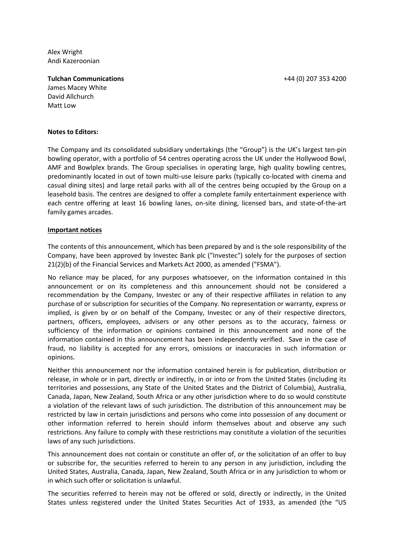+44 (0) 207 353 4200

Alex Wright Andi Kazeroonian

**Tulchan Communications** James Macey White David Allchurch Matt Low

#### **Notes to Editors:**

The Company and its consolidated subsidiary undertakings (the "Group") is the UK's largest ten-pin bowling operator, with a portfolio of 54 centres operating across the UK under the Hollywood Bowl, AMF and Bowlplex brands. The Group specialises in operating large, high quality bowling centres, predominantly located in out of town multi-use leisure parks (typically co-located with cinema and casual dining sites) and large retail parks with all of the centres being occupied by the Group on a leasehold basis. The centres are designed to offer a complete family entertainment experience with each centre offering at least 16 bowling lanes, on-site dining, licensed bars, and state-of-the-art family games arcades.

### **Important notices**

The contents of this announcement, which has been prepared by and is the sole responsibility of the Company, have been approved by Investec Bank plc ("Investec") solely for the purposes of section 21(2)(b) of the Financial Services and Markets Act 2000, as amended ("FSMA").

No reliance may be placed, for any purposes whatsoever, on the information contained in this announcement or on its completeness and this announcement should not be considered a recommendation by the Company, Investec or any of their respective affiliates in relation to any purchase of or subscription for securities of the Company. No representation or warranty, express or implied, is given by or on behalf of the Company, Investec or any of their respective directors, partners, officers, employees, advisers or any other persons as to the accuracy, fairness or sufficiency of the information or opinions contained in this announcement and none of the information contained in this announcement has been independently verified. Save in the case of fraud, no liability is accepted for any errors, omissions or inaccuracies in such information or opinions.

Neither this announcement nor the information contained herein is for publication, distribution or release, in whole or in part, directly or indirectly, in or into or from the United States (including its territories and possessions, any State of the United States and the District of Columbia), Australia, Canada, Japan, New Zealand, South Africa or any other jurisdiction where to do so would constitute a violation of the relevant laws of such jurisdiction. The distribution of this announcement may be restricted by law in certain jurisdictions and persons who come into possession of any document or other information referred to herein should inform themselves about and observe any such restrictions. Any failure to comply with these restrictions may constitute a violation of the securities laws of any such jurisdictions.

This announcement does not contain or constitute an offer of, or the solicitation of an offer to buy or subscribe for, the securities referred to herein to any person in any jurisdiction, including the United States, Australia, Canada, Japan, New Zealand, South Africa or in any jurisdiction to whom or in which such offer or solicitation is unlawful.

The securities referred to herein may not be offered or sold, directly or indirectly, in the United States unless registered under the United States Securities Act of 1933, as amended (the "US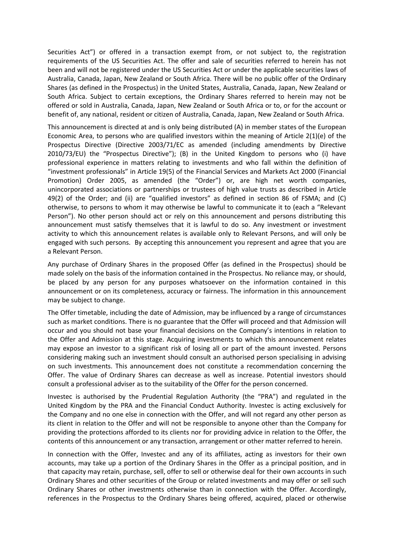Securities Act") or offered in a transaction exempt from, or not subject to, the registration requirements of the US Securities Act. The offer and sale of securities referred to herein has not been and will not be registered under the US Securities Act or under the applicable securities laws of Australia, Canada, Japan, New Zealand or South Africa. There will be no public offer of the Ordinary Shares (as defined in the Prospectus) in the United States, Australia, Canada, Japan, New Zealand or South Africa. Subject to certain exceptions, the Ordinary Shares referred to herein may not be offered or sold in Australia, Canada, Japan, New Zealand or South Africa or to, or for the account or benefit of, any national, resident or citizen of Australia, Canada, Japan, New Zealand or South Africa.

This announcement is directed at and is only being distributed (A) in member states of the European Economic Area, to persons who are qualified investors within the meaning of Article 2(1)(e) of the Prospectus Directive (Directive 2003/71/EC as amended (including amendments by Directive 2010/73/EU) the "Prospectus Directive"); (B) in the United Kingdom to persons who (i) have professional experience in matters relating to investments and who fall within the definition of "investment professionals" in Article 19(5) of the Financial Services and Markets Act 2000 (Financial Promotion) Order 2005, as amended (the "Order") or, are high net worth companies, unincorporated associations or partnerships or trustees of high value trusts as described in Article 49(2) of the Order; and (ii) are "qualified investors" as defined in section 86 of FSMA; and (C) otherwise, to persons to whom it may otherwise be lawful to communicate it to (each a "Relevant Person"). No other person should act or rely on this announcement and persons distributing this announcement must satisfy themselves that it is lawful to do so. Any investment or investment activity to which this announcement relates is available only to Relevant Persons, and will only be engaged with such persons. By accepting this announcement you represent and agree that you are a Relevant Person.

Any purchase of Ordinary Shares in the proposed Offer (as defined in the Prospectus) should be made solely on the basis of the information contained in the Prospectus. No reliance may, or should, be placed by any person for any purposes whatsoever on the information contained in this announcement or on its completeness, accuracy or fairness. The information in this announcement may be subject to change.

The Offer timetable, including the date of Admission, may be influenced by a range of circumstances such as market conditions. There is no guarantee that the Offer will proceed and that Admission will occur and you should not base your financial decisions on the Company's intentions in relation to the Offer and Admission at this stage. Acquiring investments to which this announcement relates may expose an investor to a significant risk of losing all or part of the amount invested. Persons considering making such an investment should consult an authorised person specialising in advising on such investments. This announcement does not constitute a recommendation concerning the Offer. The value of Ordinary Shares can decrease as well as increase. Potential investors should consult a professional adviser as to the suitability of the Offer for the person concerned.

Investec is authorised by the Prudential Regulation Authority (the "PRA") and regulated in the United Kingdom by the PRA and the Financial Conduct Authority. Investec is acting exclusively for the Company and no one else in connection with the Offer, and will not regard any other person as its client in relation to the Offer and will not be responsible to anyone other than the Company for providing the protections afforded to its clients nor for providing advice in relation to the Offer, the contents of this announcement or any transaction, arrangement or other matter referred to herein.

In connection with the Offer, Investec and any of its affiliates, acting as investors for their own accounts, may take up a portion of the Ordinary Shares in the Offer as a principal position, and in that capacity may retain, purchase, sell, offer to sell or otherwise deal for their own accounts in such Ordinary Shares and other securities of the Group or related investments and may offer or sell such Ordinary Shares or other investments otherwise than in connection with the Offer. Accordingly, references in the Prospectus to the Ordinary Shares being offered, acquired, placed or otherwise